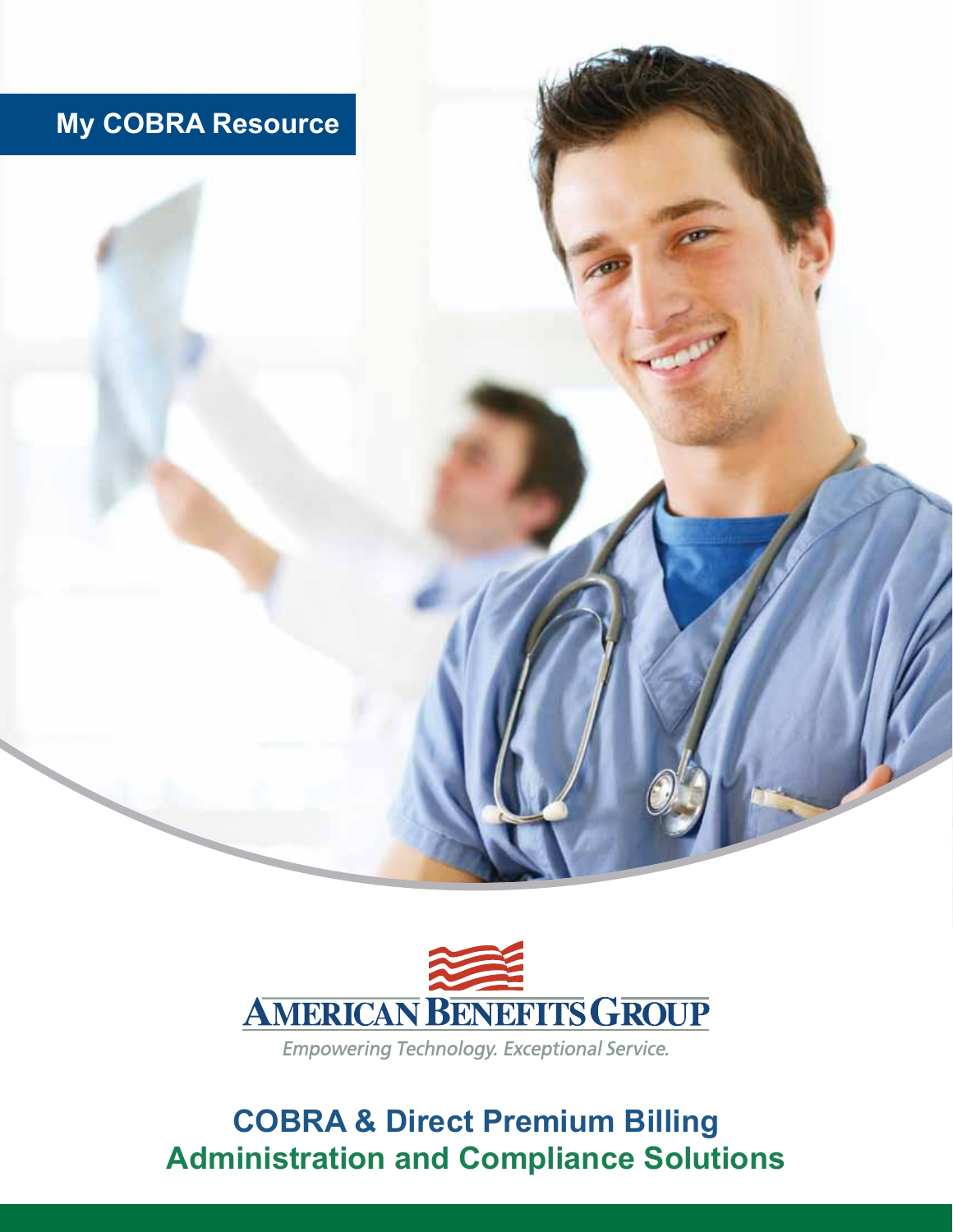# **My COBRA Resource**



Empowering Technology. Exceptional Service.

# **COBRA & Direct Premium Billing Administration and Compliance Solutions**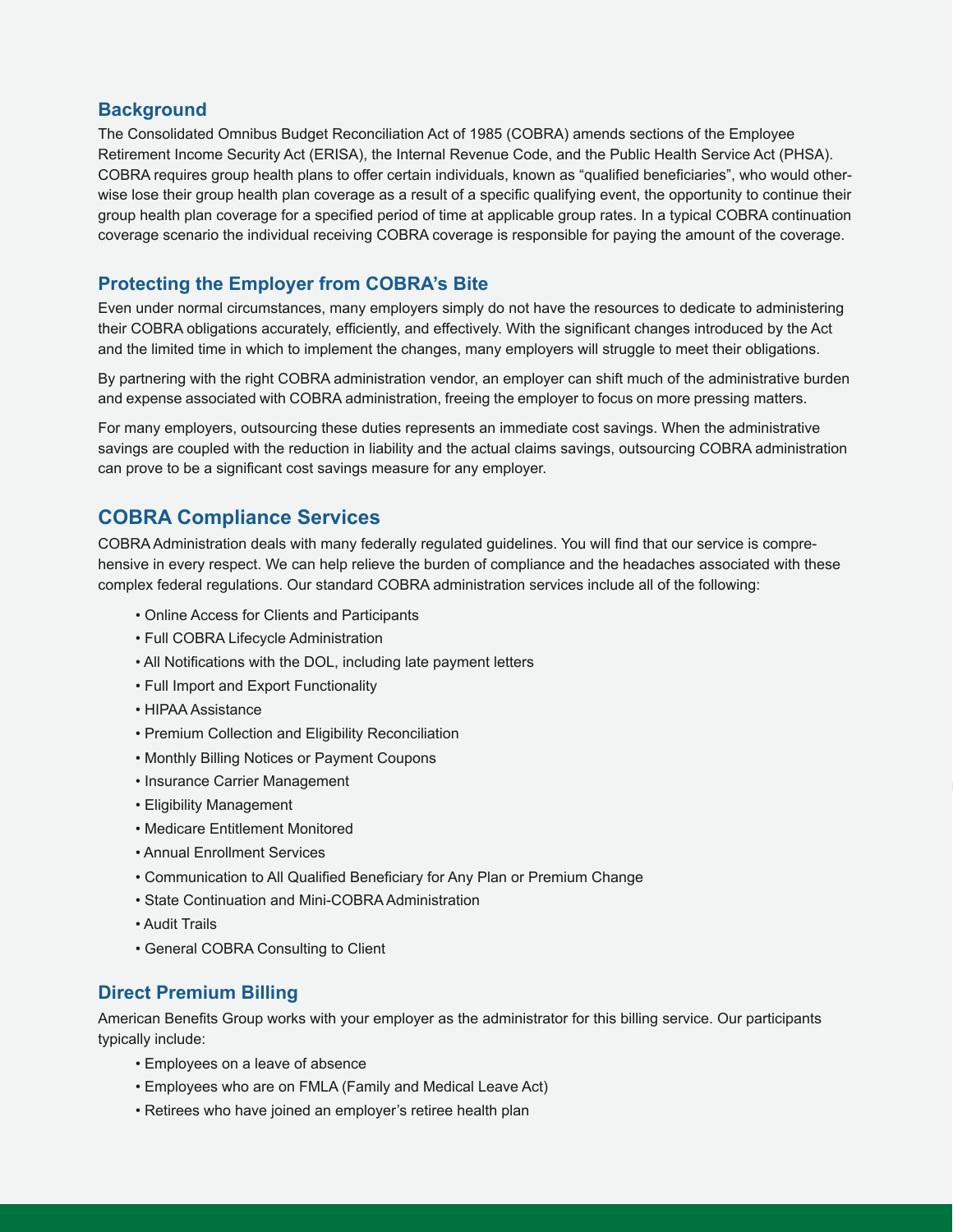## **Background**

The Consolidated Omnibus Budget Reconciliation Act of 1985 (COBRA) amends sections of the Employee Retirement Income Security Act (ERISA), the Internal Revenue Code, and the Public Health Service Act (PHSA). COBRA requires group health plans to offer certain individuals, known as "qualified beneficiaries", who would otherwise lose their group health plan coverage as a result of a specific qualifying event, the opportunity to continue their group health plan coverage for a specified period of time at applicable group rates. In a typical COBRA continuation coverage scenario the individual receiving COBRA coverage is responsible for paying the amount of the coverage.

## **Protecting the Employer from COBRA's Bite**

Even under normal circumstances, many employers simply do not have the resources to dedicate to administering their COBRA obligations accurately, efficiently, and effectively. With the significant changes introduced by the Act and the limited time in which to implement the changes, many employers will struggle to meet their obligations.

By partnering with the right COBRA administration vendor, an employer can shift much of the administrative burden and expense associated with COBRA administration, freeing the employer to focus on more pressing matters.

For many employers, outsourcing these duties represents an immediate cost savings. When the administrative savings are coupled with the reduction in liability and the actual claims savings, outsourcing COBRA administration can prove to be a significant cost savings measure for any employer.

# **COBRA Compliance Services**

COBRA Administration deals with many federally regulated guidelines. You will find that our service is comprehensive in every respect. We can help relieve the burden of compliance and the headaches associated with these complex federal regulations. Our standard COBRA administration services include all of the following:

- Online Access for Clients and Participants
- Full COBRA Lifecycle Administration
- All Notifications with the DOL, including late payment letters
- Full Import and Export Functionality
- HIPAA Assistance
- Premium Collection and Eligibility Reconciliation
- Monthly Billing Notices or Payment Coupons
- Insurance Carrier Management
- Eligibility Management
- Medicare Entitlement Monitored
- Annual Enrollment Services
- Communication to All Qualified Beneficiary for Any Plan or Premium Change
- State Continuation and Mini-COBRA Administration
- Audit Trails
- General COBRA Consulting to Client

# **Direct Premium Billing**

American Benefits Group works with your employer as the administrator for this billing service. Our participants typically include:

- Employees on a leave of absence
- Employees who are on FMLA (Family and Medical Leave Act)
- Retirees who have joined an employer's retiree health plan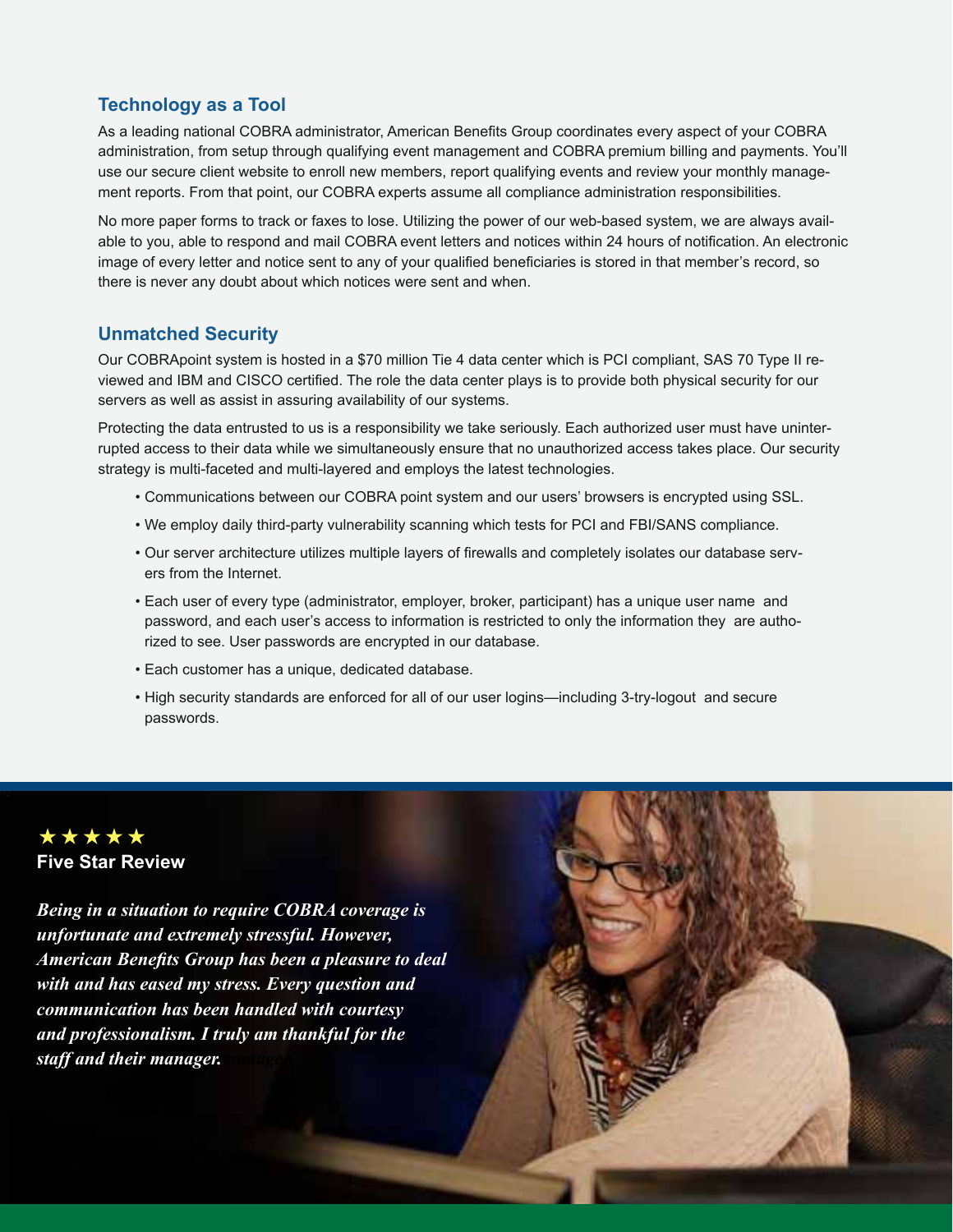### **Technology as a Tool**

As a leading national COBRA administrator, American Benefits Group coordinates every aspect of your COBRA administration, from setup through qualifying event management and COBRA premium billing and payments. You'll use our secure client website to enroll new members, report qualifying events and review your monthly management reports. From that point, our COBRA experts assume all compliance administration responsibilities.

No more paper forms to track or faxes to lose. Utilizing the power of our web-based system, we are always available to you, able to respond and mail COBRA event letters and notices within 24 hours of notification. An electronic image of every letter and notice sent to any of your qualified beneficiaries is stored in that member's record, so there is never any doubt about which notices were sent and when.

## **Unmatched Security**

Our COBRApoint system is hosted in a \$70 million Tie 4 data center which is PCI compliant, SAS 70 Type II reviewed and IBM and CISCO certified. The role the data center plays is to provide both physical security for our servers as well as assist in assuring availability of our systems.

Protecting the data entrusted to us is a responsibility we take seriously. Each authorized user must have uninterrupted access to their data while we simultaneously ensure that no unauthorized access takes place. Our security strategy is multi-faceted and multi-layered and employs the latest technologies.

- Communications between our COBRA point system and our users' browsers is encrypted using SSL.
- We employ daily third-party vulnerability scanning which tests for PCI and FBI/SANS compliance.
- Our server architecture utilizes multiple layers of firewalls and completely isolates our database servers from the Internet.
- Each user of every type (administrator, employer, broker, participant) has a unique user name and password, and each user's access to information is restricted to only the information they are authorized to see. User passwords are encrypted in our database.
- Each customer has a unique, dedicated database.
- High security standards are enforced for all of our user logins—including 3-try-logout and secure passwords.



*Being in a situation to require COBRA coverage is unfortunate and extremely stressful. However, American Benefits Group has been a pleasure to deal with and has eased my stress. Every question and communication has been handled with courtesy and professionalism. I truly am thankful for the staff and their manager.manager.*